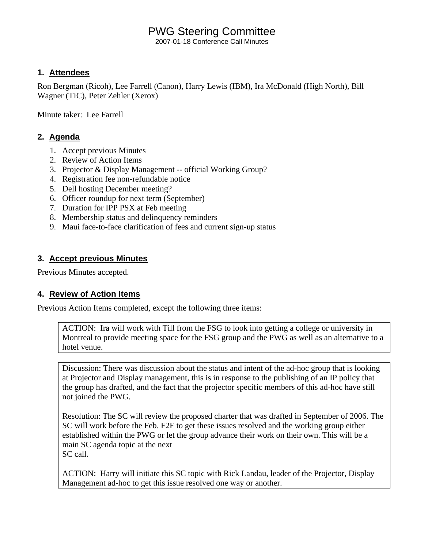# PWG Steering Committee

2007-01-18 Conference Call Minutes

## **1. Attendees**

Ron Bergman (Ricoh), Lee Farrell (Canon), Harry Lewis (IBM), Ira McDonald (High North), Bill Wagner (TIC), Peter Zehler (Xerox)

Minute taker: Lee Farrell

## **2. Agenda**

- 1. Accept previous Minutes
- 2. Review of Action Items
- 3. Projector & Display Management -- official Working Group?
- 4. Registration fee non-refundable notice
- 5. Dell hosting December meeting?
- 6. Officer roundup for next term (September)
- 7. Duration for IPP PSX at Feb meeting
- 8. Membership status and delinquency reminders
- 9. Maui face-to-face clarification of fees and current sign-up status

## **3. Accept previous Minutes**

Previous Minutes accepted.

## **4. Review of Action Items**

Previous Action Items completed, except the following three items:

ACTION: Ira will work with Till from the FSG to look into getting a college or university in Montreal to provide meeting space for the FSG group and the PWG as well as an alternative to a hotel venue.

Discussion: There was discussion about the status and intent of the ad-hoc group that is looking at Projector and Display management, this is in response to the publishing of an IP policy that the group has drafted, and the fact that the projector specific members of this ad-hoc have still not joined the PWG.

Resolution: The SC will review the proposed charter that was drafted in September of 2006. The SC will work before the Feb. F2F to get these issues resolved and the working group either established within the PWG or let the group advance their work on their own. This will be a main SC agenda topic at the next SC call.

ACTION: Harry will initiate this SC topic with Rick Landau, leader of the Projector, Display Management ad-hoc to get this issue resolved one way or another.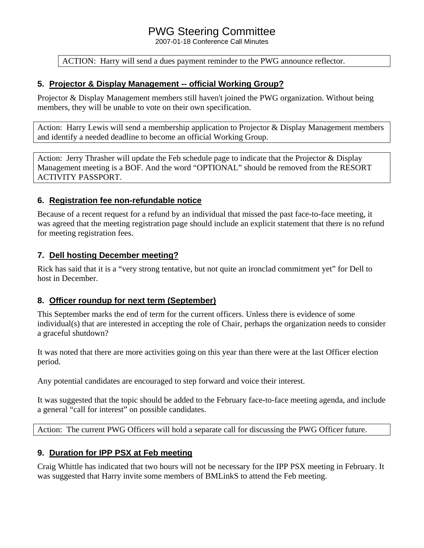# PWG Steering Committee

2007-01-18 Conference Call Minutes

#### ACTION: Harry will send a dues payment reminder to the PWG announce reflector.

## **5. Projector & Display Management -- official Working Group?**

Projector & Display Management members still haven't joined the PWG organization. Without being members, they will be unable to vote on their own specification.

Action: Harry Lewis will send a membership application to Projector  $\&$  Display Management members and identify a needed deadline to become an official Working Group.

Action: Jerry Thrasher will update the Feb schedule page to indicate that the Projector & Display Management meeting is a BOF. And the word "OPTIONAL" should be removed from the RESORT ACTIVITY PASSPORT.

#### **6. Registration fee non-refundable notice**

Because of a recent request for a refund by an individual that missed the past face-to-face meeting, it was agreed that the meeting registration page should include an explicit statement that there is no refund for meeting registration fees.

## **7. Dell hosting December meeting?**

Rick has said that it is a "very strong tentative, but not quite an ironclad commitment yet" for Dell to host in December.

## **8. Officer roundup for next term (September)**

This September marks the end of term for the current officers. Unless there is evidence of some individual(s) that are interested in accepting the role of Chair, perhaps the organization needs to consider a graceful shutdown?

It was noted that there are more activities going on this year than there were at the last Officer election period.

Any potential candidates are encouraged to step forward and voice their interest.

It was suggested that the topic should be added to the February face-to-face meeting agenda, and include a general "call for interest" on possible candidates.

Action: The current PWG Officers will hold a separate call for discussing the PWG Officer future.

## **9. Duration for IPP PSX at Feb meeting**

Craig Whittle has indicated that two hours will not be necessary for the IPP PSX meeting in February. It was suggested that Harry invite some members of BMLinkS to attend the Feb meeting.